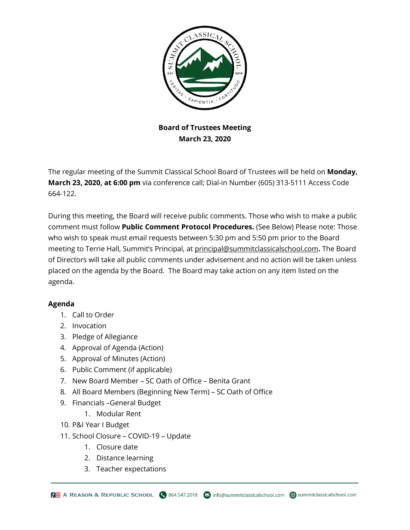

## **Board of Trustees Meeting March 23, 2020**

The regular meeting of the Summit Classical School Board of Trustees will be held on **Monday, March 23, 2020, at 6:00 pm** via conference call; Dial-in Number (605) 313-5111 Access Code 664-122.

During this meeting, the Board will receive public comments. Those who wish to make a public comment must follow **Public Comment Protocol Procedures.** (See Below) Please note: Those who wish to speak must email requests between 5:30 pm and 5:50 pm prior to the Board meeting to Terrie Hall, Summit's Principal, at [principal@summitclassicalschool.com](mailto:principal@summitclassicalschool.com)**.** The Board of Directors will take all public comments under advisement and no action will be taken unless placed on the agenda by the Board. The Board may take action on any item listed on the agenda.

## **Agenda**

- 1. Call to Order
- 2. Invocation
- 3. Pledge of Allegiance
- 4. Approval of Agenda (Action)
- 5. Approval of Minutes (Action)
- 6. Public Comment (if applicable)
- 7. New Board Member SC Oath of Office Benita Grant
- 8. All Board Members (Beginning New Term) SC Oath of Office
- 9. Financials –General Budget
	- 1. Modular Rent
- 10. P&I Year I Budget
- 11. School Closure COVID-19 Update
	- 1. Closure date
	- 2. Distance learning
	- 3. Teacher expectations